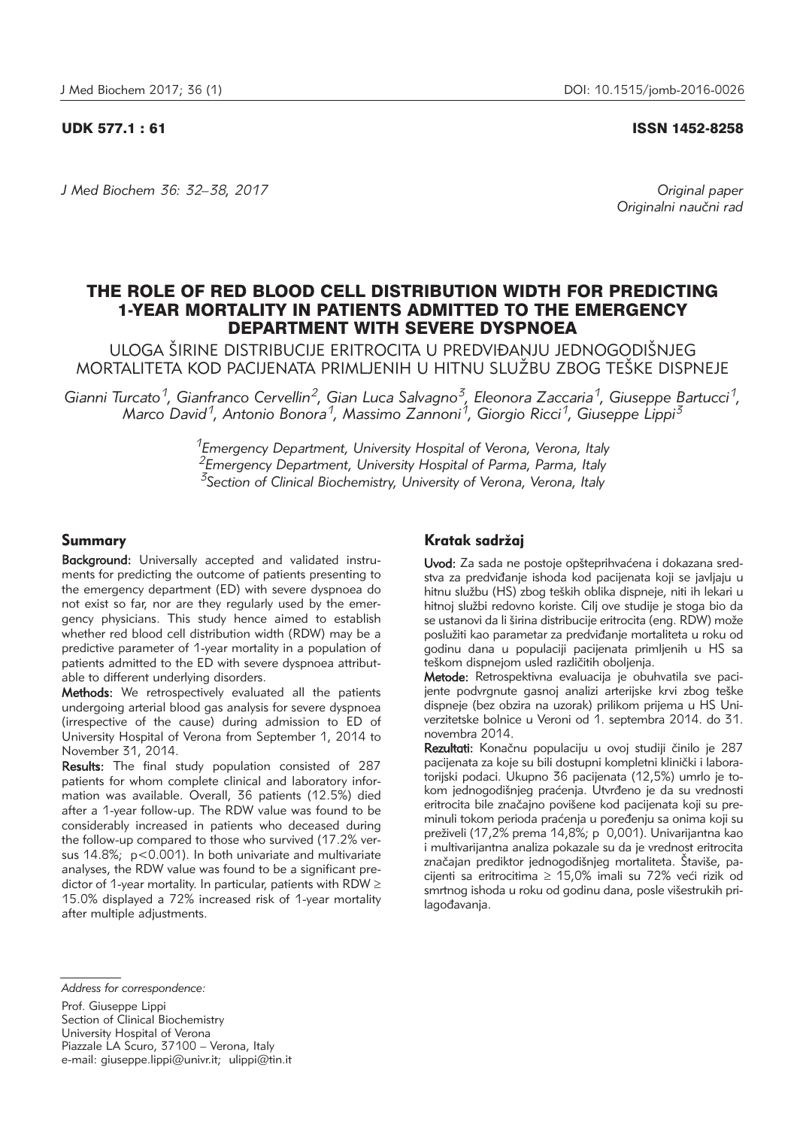UDK 577.1 : 61 ISSN 1452-8258

*J Med Biochem 36: 32–38, 2017 Original paper*

Originalni naučni rad

# THE ROLE OF RED BLOOD CELL DISTRIBUTION WIDTH FOR PREDICTING 1-YEAR MORTALITY IN PATIENTS ADMITTED TO THE EMERGENCY DEPARTMENT WITH SEVERE DYSPNOEA

ULOGA ŠIRINE DISTRIBUCIJE ERITROCITA U PREDVIĐANJU JEDNOGODIŠNJEG MORTALITETA KOD PACIJENATA PRIMLJENIH U HITNU SLUŽBU ZBOG TEŠKE DISPNEJE

*Gianni Turcato1, Gianfranco Cervellin2, Gian Luca Salvagno3, Eleonora Zaccaria1, Giuseppe Bartucci1, Marco David1, Antonio Bonora1, Massimo Zannoni1, Giorgio Ricci1, Giuseppe Lippi3*

> *1Emergency Department, University Hospital of Verona, Verona, Italy 2Emergency Department, University Hospital of Parma, Parma, Italy 3Section of Clinical Biochemistry, University of Verona, Verona, Italy*

# Summary

Background: Universally accepted and validated instruments for predicting the outcome of patients presenting to the emergency department (ED) with severe dyspnoea do not exist so far, nor are they regularly used by the emergency physicians. This study hence aimed to establish whether red blood cell distribution width (RDW) may be a predictive parameter of 1-year mortality in a population of patients admitted to the ED with severe dyspnoea attributable to different underlying disorders.

Methods: We retrospectively evaluated all the patients undergoing arterial blood gas analysis for severe dyspnoea (irrespective of the cause) during admission to ED of University Hospital of Verona from September 1, 2014 to November 31, 2014.

Results: The final study population consisted of 287 patients for whom complete clinical and laboratory information was available. Overall, 36 patients (12.5%) died after a 1-year follow-up. The RDW value was found to be considerably increased in patients who deceased during the follow-up compared to those who survived (17.2% versus 14.8%; p<0.001). In both univariate and multivariate analyses, the RDW value was found to be a significant predictor of 1-year mortality. In particular, patients with RDW  $\geq$ 15.0% displayed a 72% increased risk of 1-year mortality after multiple adjustments.

# Kratak sadržaj

Uvod: Za sada ne postoje opšteprihvaćena i dokazana sredstva za predviđanje ishoda kod pacijenata koji se javljaju u hitnu službu (HS) zbog teških oblika dispneje, niti ih lekari u hitnoj službi redovno koriste. Cilj ove studije je stoga bio da se ustanovi da li širina distribucije eritrocita (eng. RDW) može poslužiti kao parametar za predviđanje mortaliteta u roku od godinu dana u populaciji pacijenata primljenih u HS sa teškom dispnejom usled različitih oboljenja.

Metode: Retrospektivna evaluacija je obuhvatila sve pacijente podvrgnute gasnoj analizi arterijske krvi zbog teške dispneje (bez obzira na uzorak) prilikom prijema u HS Uni verzitetske bolnice u Veroni od 1. septembra 2014. do 31. novembra 2014.

Rezultati: Konačnu populaciju u ovoj studiji činilo je 287 pacijenata za koje su bili dostupni kompletni klinički i labora-.<br>torijski podaci. Ukupno 36 pacijenata (12,5%) umrlo je tokom jednogodišnjeg praćenja. Utvrđeno je da su vrednosti eritrocita bile značajno povišene kod pacijenata koji su preminuli tokom perioda praćenja u poređenju sa onima koji su preživeli (17,2% prema 14,8%; p 0,001). Univarijantna kao i multivarijantna analiza pokazale su da je vrednost eritrocita značajan prediktor jednogodišnjeg mortaliteta. Štaviše, pacijenti sa eritrocitima  $\geq$  15,0% imali su 72% veći rizik od smrtnog ishoda u roku od godinu dana, posle višestrukih prilagođavanja.

Prof. Giuseppe Lippi Section of Clinical Biochemistry University Hospital of Verona Piazzale LA Scuro, 37100 – Verona, Italy e-mail: giuseppe.lippi@univr.it; ulippi@tin.it

*Address for correspondence:*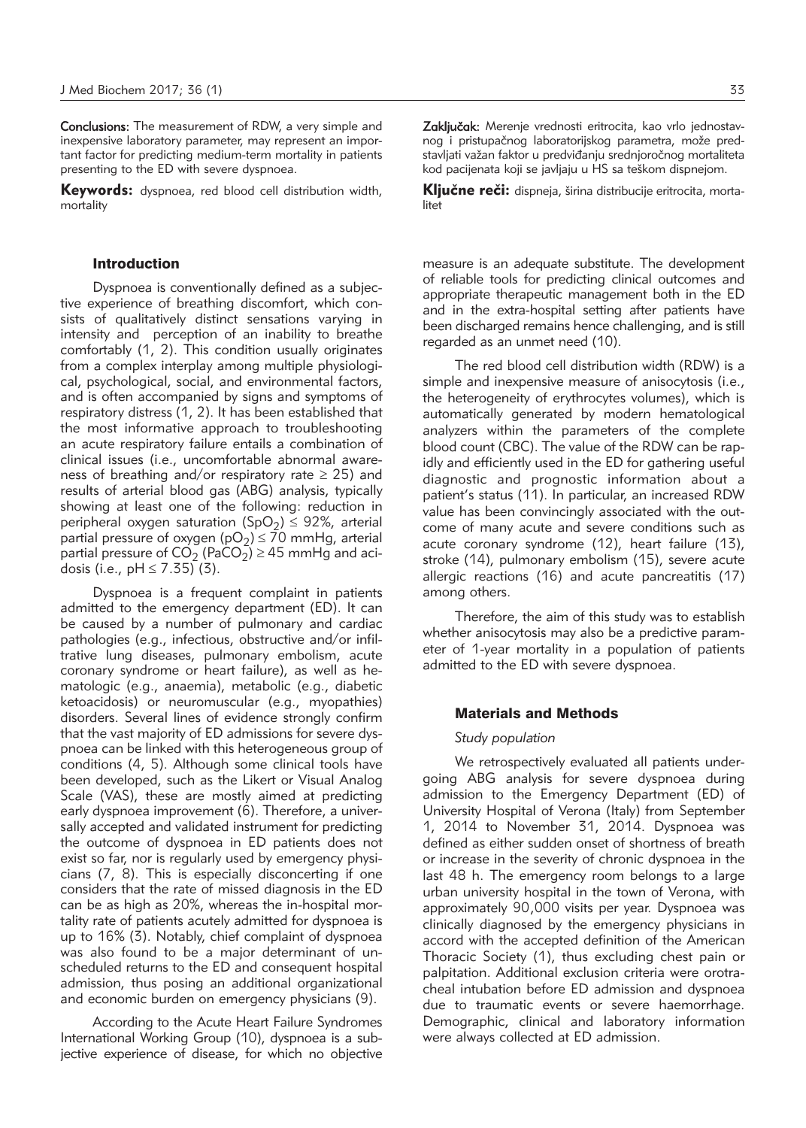Conclusions: The measurement of RDW, a very simple and inexpensive laboratory parameter, may represent an important factor for predicting medium-term mortality in patients presenting to the ED with severe dyspnoea.

Keywords: dyspnoea, red blood cell distribution width, mortality

### Introduction

Dyspnoea is conventionally defined as a subjective experience of breathing discomfort, which consists of qualitatively distinct sensations varying in intensity and perception of an inability to breathe comfortably (1, 2). This condition usually originates from a complex interplay among multiple physiological, psychological, social, and environmental factors, and is often accompanied by signs and symptoms of respiratory distress (1, 2). It has been established that the most informative approach to troubleshooting an acute respiratory failure entails a combination of clinical issues (i.e., uncomfortable abnormal awareness of breathing and/or respiratory rate  $\geq$  25) and results of arterial blood gas (ABG) analysis, typically showing at least one of the following: reduction in peripheral oxygen saturation (SpO<sub>2</sub>)  $\leq$  92%, arterial partial pressure of oxygen ( $pO<sub>2</sub>$ )  $\leq$  70 mmHg, arterial partial pressure of  $CO<sub>2</sub>$  (PaCO<sub>2</sub>)  $\geq$  45 mmHg and acidosis (i.e.,  $pH \le 7.35$ ) (3).

Dyspnoea is a frequent complaint in patients admitted to the emergency department (ED). It can be caused by a number of pulmonary and cardiac pathologies (e.g., infectious, obstructive and/or infiltrative lung diseases, pulmonary embolism, acute coronary syndrome or heart failure), as well as hematologic (e.g., anaemia), metabolic (e.g., diabetic ketoacidosis) or neuromuscular (e.g., myopathies) disorders. Several lines of evidence strongly confirm that the vast majority of ED admissions for severe dyspnoea can be linked with this heterogeneous group of conditions (4, 5). Although some clinical tools have been developed, such as the Likert or Visual Analog Scale (VAS), these are mostly aimed at predicting early dyspnoea improvement (6). Therefore, a universally accepted and validated instrument for predicting the outcome of dyspnoea in ED patients does not exist so far, nor is regularly used by emergency physicians (7, 8). This is especially disconcerting if one considers that the rate of missed diagnosis in the ED can be as high as 20%, whereas the in-hospital mortality rate of patients acutely admitted for dyspnoea is up to 16% (3). Notably, chief complaint of dyspnoea was also found to be a major determinant of unscheduled returns to the ED and consequent hospital admission, thus posing an additional organizational and economic burden on emergency physicians (9).

According to the Acute Heart Failure Syndromes International Working Group (10), dyspnoea is a subjective experience of disease, for which no objective Zaključak: Merenje vrednosti eritrocita, kao vrlo jednostavnog i pristupačnog laboratorijskog parametra, može predstavljati važan faktor u predviđanju srednjoročnog mortaliteta kod pacijenata koji se javljaju u HS sa teškom dispnejom.

Ključne reči: dispneja, širina distribucije eritrocita, mortalitet

measure is an adequate substitute. The development of reliable tools for predicting clinical outcomes and appropriate therapeutic management both in the ED and in the extra-hospital setting after patients have been discharged remains hence challenging, and is still regarded as an unmet need (10).

The red blood cell distribution width (RDW) is a simple and inexpensive measure of anisocytosis (i.e., the heterogeneity of erythrocytes volumes), which is automatically generated by modern hematological analyzers within the parameters of the complete blood count (CBC). The value of the RDW can be rapidly and efficiently used in the ED for gathering useful diagnostic and prognostic information about a patient's status (11). In particular, an increased RDW value has been convincingly associated with the outcome of many acute and severe conditions such as acute coronary syndrome (12), heart failure (13), stroke (14), pulmonary embolism (15), severe acute allergic reactions (16) and acute pancreatitis (17) among others.

Therefore, the aim of this study was to establish whether anisocytosis may also be a predictive parameter of 1-year mortality in a population of patients admitted to the ED with severe dyspnoea.

#### Materials and Methods

#### *Study population*

We retrospectively evaluated all patients undergoing ABG analysis for severe dyspnoea during admission to the Emergency Department (ED) of University Hospital of Verona (Italy) from September 1, 2014 to November 31, 2014. Dyspnoea was defined as either sudden onset of shortness of breath or increase in the severity of chronic dyspnoea in the last 48 h. The emergency room belongs to a large urban university hospital in the town of Verona, with approximately 90,000 visits per year. Dyspnoea was clinically diagnosed by the emergency physicians in accord with the accepted definition of the American Thoracic Society (1), thus excluding chest pain or palpitation. Additional exclusion criteria were orotracheal intubation before ED admission and dyspnoea due to traumatic events or severe haemorrhage. Demographic, clinical and laboratory information were always collected at ED admission.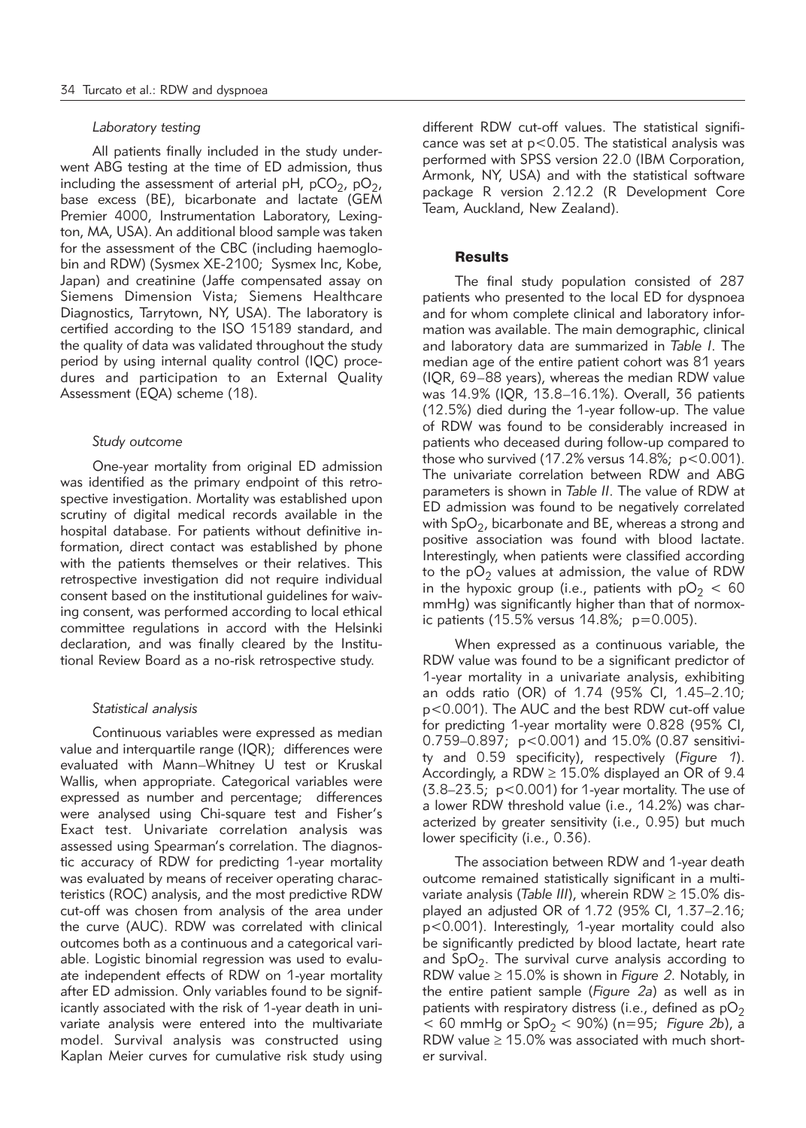#### *Laboratory testing*

All patients finally included in the study underwent ABG testing at the time of ED admission, thus including the assessment of arterial pH,  $pCO_2$ ,  $pO_2$ , base excess (BE), bicarbonate and lactate (GEM Premier 4000, Instrumentation Laboratory, Lexington, MA, USA). An additional blood sample was taken for the assessment of the CBC (including haemoglobin and RDW) (Sysmex XE-2100; Sysmex Inc, Kobe, Japan) and creatinine (Jaffe compensated assay on Siemens Dimension Vista; Siemens Healthcare Diagnostics, Tarrytown, NY, USA). The laboratory is certified according to the ISO 15189 standard, and the quality of data was validated throughout the study period by using internal quality control (IQC) procedures and participation to an External Quality Assessment (EQA) scheme (18).

#### *Study outcome*

One-year mortality from original ED admission was identified as the primary endpoint of this retrospective investigation. Mortality was established upon scrutiny of digital medical records available in the hospital database. For patients without definitive information, direct contact was established by phone with the patients themselves or their relatives. This retrospective investigation did not require individual consent based on the institutional guidelines for waiving consent, was performed according to local ethical committee regulations in accord with the Helsinki declaration, and was finally cleared by the Institutional Review Board as a no-risk retrospective study.

#### *Statistical analysis*

Continuous variables were expressed as median value and interquartile range (IQR); differences were evaluated with Mann–Whitney U test or Kruskal Wallis, when appropriate. Categorical variables were expressed as number and percentage; differences were analysed using Chi-square test and Fisher's Exact test. Univariate correlation analysis was assessed using Spearman's correlation. The diagnostic accuracy of RDW for predicting 1-year mortality was evaluated by means of receiver operating characteristics (ROC) analysis, and the most predictive RDW cut-off was chosen from analysis of the area under the curve (AUC). RDW was correlated with clinical outcomes both as a continuous and a categorical variable. Logistic binomial regression was used to evaluate independent effects of RDW on 1-year mortality after ED admission. Only variables found to be significantly associated with the risk of 1-year death in univariate analysis were entered into the multivariate model. Survival analysis was constructed using Kaplan Meier curves for cumulative risk study using different RDW cut-off values. The statistical significance was set at  $p < 0.05$ . The statistical analysis was performed with SPSS version 22.0 (IBM Corporation, Armonk, NY, USA) and with the statistical software package R version 2.12.2 (R Development Core Team, Auckland, New Zealand).

#### **Results**

The final study population consisted of 287 patients who presented to the local ED for dyspnoea and for whom complete clinical and laboratory information was available. The main demographic, clinical and laboratory data are summarized in *Table I*. The median age of the entire patient cohort was 81 years (IQR, 69–88 years), whereas the median RDW value was 14.9% (IQR, 13.8–16.1%). Overall, 36 patients (12.5%) died during the 1-year follow-up. The value of RDW was found to be considerably increased in patients who deceased during follow-up compared to those who survived  $(17.2\%$  versus  $14.8\%$ ;  $p < 0.001$ ). The univariate correlation between RDW and ABG parameters is shown in *Table II*. The value of RDW at ED admission was found to be negatively correlated with  $SpO<sub>2</sub>$ , bicarbonate and BE, whereas a strong and positive association was found with blood lactate. Interestingly, when patients were classified according to the  $pO<sub>2</sub>$  values at admission, the value of RDW in the hypoxic group (i.e., patients with  $pO<sub>2</sub> < 60$ mmHg) was significantly higher than that of normoxic patients (15.5% versus 14.8%;  $p=0.005$ ).

When expressed as a continuous variable, the RDW value was found to be a significant predictor of 1-year mortality in a univariate analysis, exhibiting an odds ratio (OR) of 1.74 (95% CI, 1.45–2.10; p<0.001). The AUC and the best RDW cut-off value for predicting 1-year mortality were 0.828 (95% CI, 0.759–0.897; p<0.001) and 15.0% (0.87 sensitivity and 0.59 specificity), respectively (*Figure 1*). Accordingly, a RDW  $\geq$  15.0% displayed an OR of 9.4 (3.8–23.5; p<0.001) for 1-year mortality. The use of a lower RDW threshold value (i.e., 14.2%) was characterized by greater sensitivity (i.e., 0.95) but much lower specificity (i.e., 0.36).

The association between RDW and 1-year death outcome remained statistically significant in a multivariate analysis (*Table III*), wherein RDW ≥ 15.0% displayed an adjusted OR of 1.72 (95% CI, 1.37–2.16; p<0.001). Interestingly, 1-year mortality could also be significantly predicted by blood lactate, heart rate and  $SpO<sub>2</sub>$ . The survival curve analysis according to RDW value ≥ 15.0% is shown in *Figure 2*. Notably, in the entire patient sample (*Figure 2a*) as well as in patients with respiratory distress (i.e., defined as  $pO<sub>2</sub>$  $<$  60 mmHg or SpO<sub>2</sub>  $<$  90%) (n=95; Figure 2b), a RDW value  $\geq$  15.0% was associated with much shorter survival.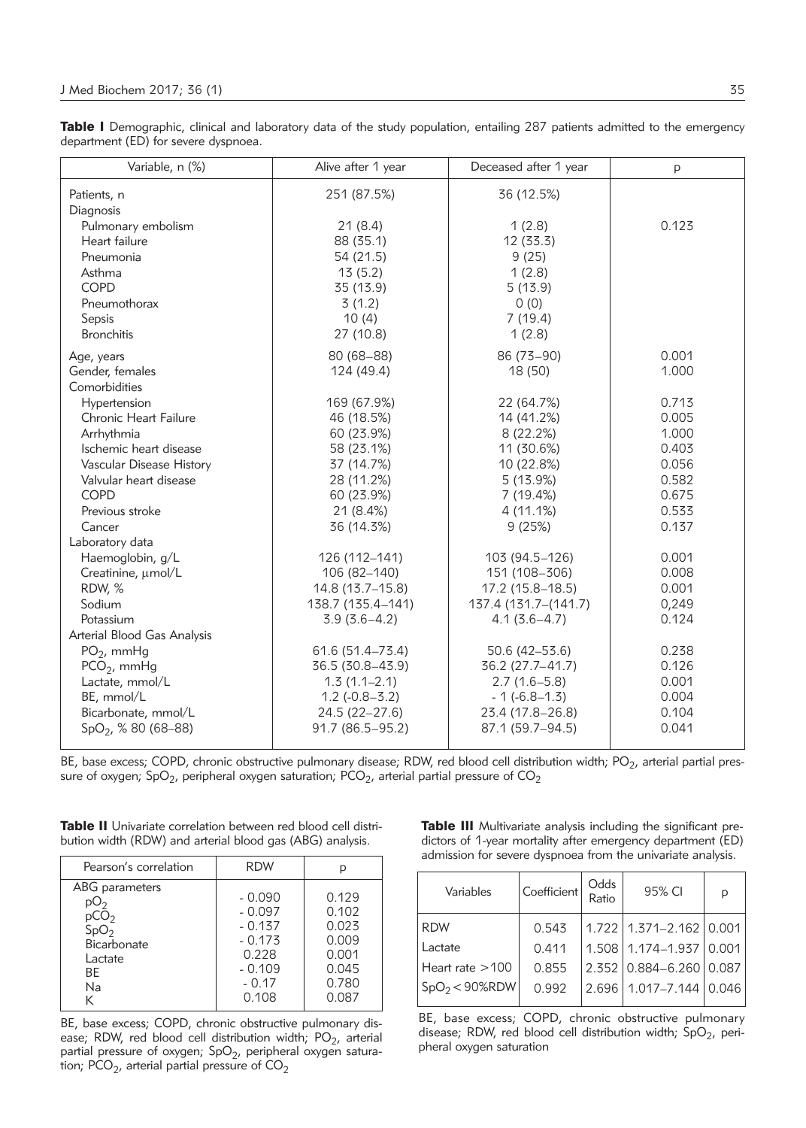Table I Demographic, clinical and laboratory data of the study population, entailing 287 patients admitted to the emergency department (ED) for severe dyspnoea.

| Variable, n (%)                 | Alive after 1 year  | Deceased after 1 year | p     |
|---------------------------------|---------------------|-----------------------|-------|
| Patients, n                     | 251 (87.5%)         | 36 (12.5%)            |       |
| Diagnosis                       |                     |                       |       |
| Pulmonary embolism              | 21(8.4)             | 1(2.8)                | 0.123 |
| Heart failure                   | 88 (35.1)           | 12 (33.3)             |       |
| Pneumonia                       | 54 (21.5)           | 9(25)                 |       |
| Asthma                          | 13(5.2)             | 1(2.8)                |       |
| <b>COPD</b>                     | 35 (13.9)           | 5(13.9)               |       |
| Pneumothorax                    | 3(1.2)              | 0(0)                  |       |
| Sepsis                          | 10(4)               | 7(19.4)               |       |
| <b>Bronchitis</b>               | 27 (10.8)           | 1(2.8)                |       |
| Age, years                      | $80(68 - 88)$       | 86 (73-90)            | 0.001 |
| Gender, females                 | 124 (49.4)          | 18 (50)               | 1.000 |
| Comorbidities                   |                     |                       |       |
| Hypertension                    | 169 (67.9%)         | 22 (64.7%)            | 0.713 |
| Chronic Heart Failure           | 46 (18.5%)          | 14 (41.2%)            | 0.005 |
| Arrhythmia                      | 60 (23.9%)          | 8(22.2%)              | 1.000 |
| Ischemic heart disease          | 58 (23.1%)          | 11 (30.6%)            | 0.403 |
| Vascular Disease History        | 37 (14.7%)          | 10 (22.8%)            | 0.056 |
| Valvular heart disease          | 28 (11.2%)          | 5(13.9%)              | 0.582 |
| <b>COPD</b>                     | 60 (23.9%)          | 7 (19.4%)             | 0.675 |
| Previous stroke                 | 21 (8.4%)           | 4(11.1%)              | 0.533 |
| Cancer                          | 36 (14.3%)          | 9(25%)                | 0.137 |
| Laboratory data                 |                     |                       |       |
| Haemoglobin, g/L                | 126 (112-141)       | 103 (94.5-126)        | 0.001 |
| Creatinine, µmol/L              | 106 (82-140)        | 151 (108-306)         | 0.008 |
| RDW, %                          | 14.8 (13.7-15.8)    | 17.2 (15.8-18.5)      | 0.001 |
| Sodium                          | 138.7 (135.4-141)   | 137.4 (131.7-(141.7)  | 0,249 |
| Potassium                       | $3.9(3.6-4.2)$      | $4.1(3.6-4.7)$        | 0.124 |
| Arterial Blood Gas Analysis     |                     |                       |       |
| $PO2$ , mmHg                    | $61.6(51.4 - 73.4)$ | 50.6 (42-53.6)        | 0.238 |
| $PCO2$ , mmHg                   | 36.5 (30.8-43.9)    | 36.2 (27.7-41.7)      | 0.126 |
| Lactate, mmol/L                 | $1.3(1.1 - 2.1)$    | $2.7(1.6-5.8)$        | 0.001 |
| BE, mmol/L                      | $1.2(-0.8-3.2)$     | $-1$ ( $-6.8-1.3$ )   | 0.004 |
| Bicarbonate, mmol/L             | 24.5 (22-27.6)      | 23.4 (17.8-26.8)      | 0.104 |
| SpO <sub>2</sub> , % 80 (68-88) | 91.7 (86.5-95.2)    | 87.1 (59.7-94.5)      | 0.041 |
|                                 |                     |                       |       |

BE, base excess; COPD, chronic obstructive pulmonary disease; RDW, red blood cell distribution width; PO<sub>2</sub>, arterial partial pressure of oxygen; SpO $_2$ , peripheral oxygen saturation; PCO $_2$ , arterial partial pressure of CO $_2$ 

|  | <b>Table II</b> Univariate correlation between red blood cell distri- |
|--|-----------------------------------------------------------------------|
|  | bution width (RDW) and arterial blood gas (ABG) analysis.             |

| Pearson's correlation                                                                                    | <b>RDW</b>                                                                            |                                                                      |  |
|----------------------------------------------------------------------------------------------------------|---------------------------------------------------------------------------------------|----------------------------------------------------------------------|--|
| ABG parameters<br>DU2<br>pCO <sub>2</sub><br>SpO <sub>2</sub><br>Bicarbonate<br>Lactate<br>BE<br>Na<br>K | $-0.090$<br>$-0.097$<br>$-0.137$<br>$-0.173$<br>0.228<br>$-0.109$<br>$-0.17$<br>0.108 | 0.129<br>0.102<br>0.023<br>0.009<br>0.001<br>0.045<br>0.780<br>0.087 |  |

BE, base excess; COPD, chronic obstructive pulmonary disease; RDW, red blood cell distribution width;  $PO_2$ , arterial partial pressure of oxygen; SpO<sub>2</sub>, peripheral oxygen saturation; PCO<sub>2</sub>, arterial partial pressure of CO<sub>2</sub>

Table III Multivariate analysis including the significant predictors of 1-year mortality after emergency department (ED) admission for severe dyspnoea from the univariate analysis.

| Variables         | Coefficient | Odds<br>Ratio | 95% CI                        | р |
|-------------------|-------------|---------------|-------------------------------|---|
| <b>RDW</b>        | 0.543       |               | $1.722$   1.371-2.162   0.001 |   |
| Lactate           | 0.411       |               | 1.508 1.174-1.937 0.001       |   |
| Heart rate $>100$ | 0.855       |               | 2.352 0.884-6.260 0.087       |   |
| $SpO2<$ 90%RDW    | 0.992       |               | 2.696   1.017-7.144   0.046   |   |

BE, base excess; COPD, chronic obstructive pulmonary disease; RDW, red blood cell distribution width;  $SpO<sub>2</sub>$ , peripheral oxygen saturation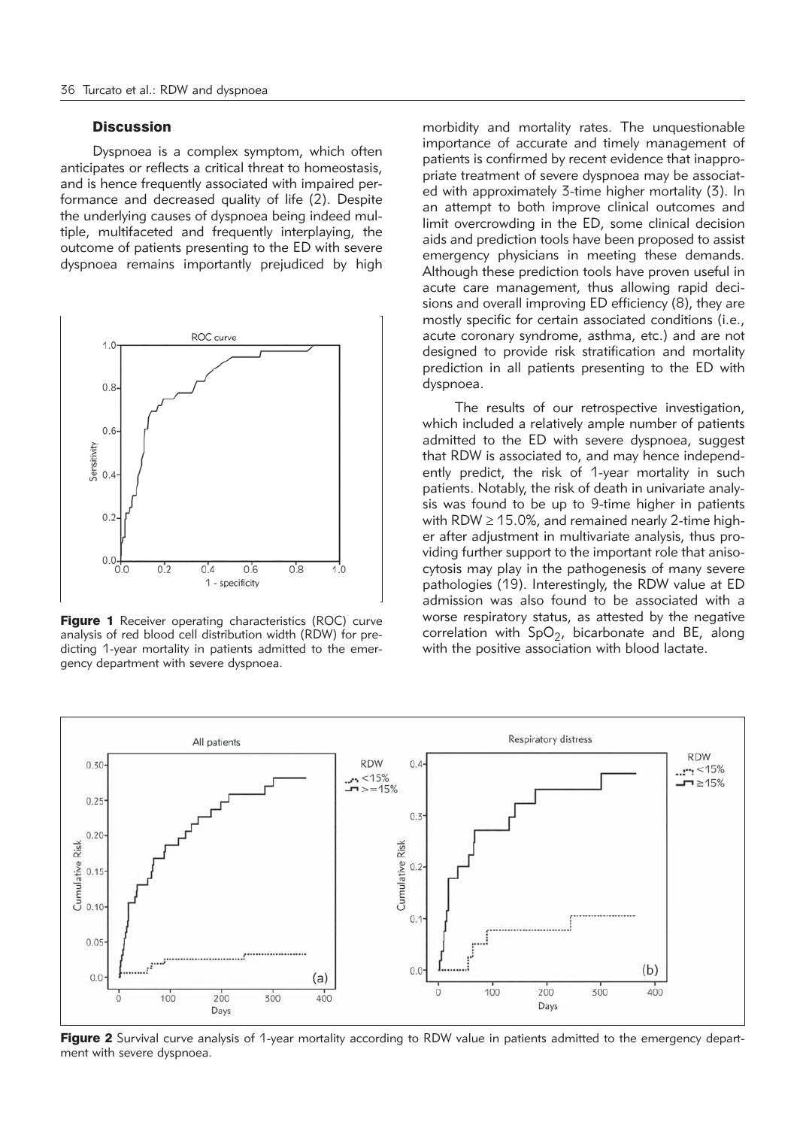## **Discussion**

Dyspnoea is a complex symptom, which often anticipates or reflects a critical threat to homeostasis, and is hence frequently associated with impaired performance and decreased quality of life (2). Despite the underlying causes of dyspnoea being indeed multiple, multifaceted and frequently interplaying, the outcome of patients presenting to the ED with severe dyspnoea remains importantly prejudiced by high



**Figure 1** Receiver operating characteristics (ROC) curve analysis of red blood cell distribution width (RDW) for predicting 1-year mortality in patients admitted to the emergency department with severe dyspnoea.

morbidity and mortality rates. The unquestionable importance of accurate and timely management of patients is confirmed by recent evidence that inappropriate treatment of severe dyspnoea may be associated with approximately 3-time higher mortality (3). In an attempt to both improve clinical outcomes and limit overcrowding in the ED, some clinical decision aids and prediction tools have been proposed to assist emergency physicians in meeting these demands. Although these prediction tools have proven useful in acute care management, thus allowing rapid decisions and overall improving ED efficiency (8), they are mostly specific for certain associated conditions (i.e., acute coronary syndrome, asthma, etc.) and are not designed to provide risk stratification and mortality prediction in all patients presenting to the ED with dyspnoea.

The results of our retrospective investigation, which included a relatively ample number of patients admitted to the ED with severe dyspnoea, suggest that RDW is associated to, and may hence independently predict, the risk of 1-year mortality in such patients. Notably, the risk of death in univariate analysis was found to be up to 9-time higher in patients with RDW  $\geq$  15.0%, and remained nearly 2-time higher after adjustment in multivariate analysis, thus providing further support to the important role that anisocytosis may play in the pathogenesis of many severe pathologies (19). Interestingly, the RDW value at ED admission was also found to be associated with a worse respiratory status, as attested by the negative correlation with  $SpO<sub>2</sub>$ , bicarbonate and BE, along with the positive association with blood lactate.



Figure 2 Survival curve analysis of 1-year mortality according to RDW value in patients admitted to the emergency department with severe dyspnoea.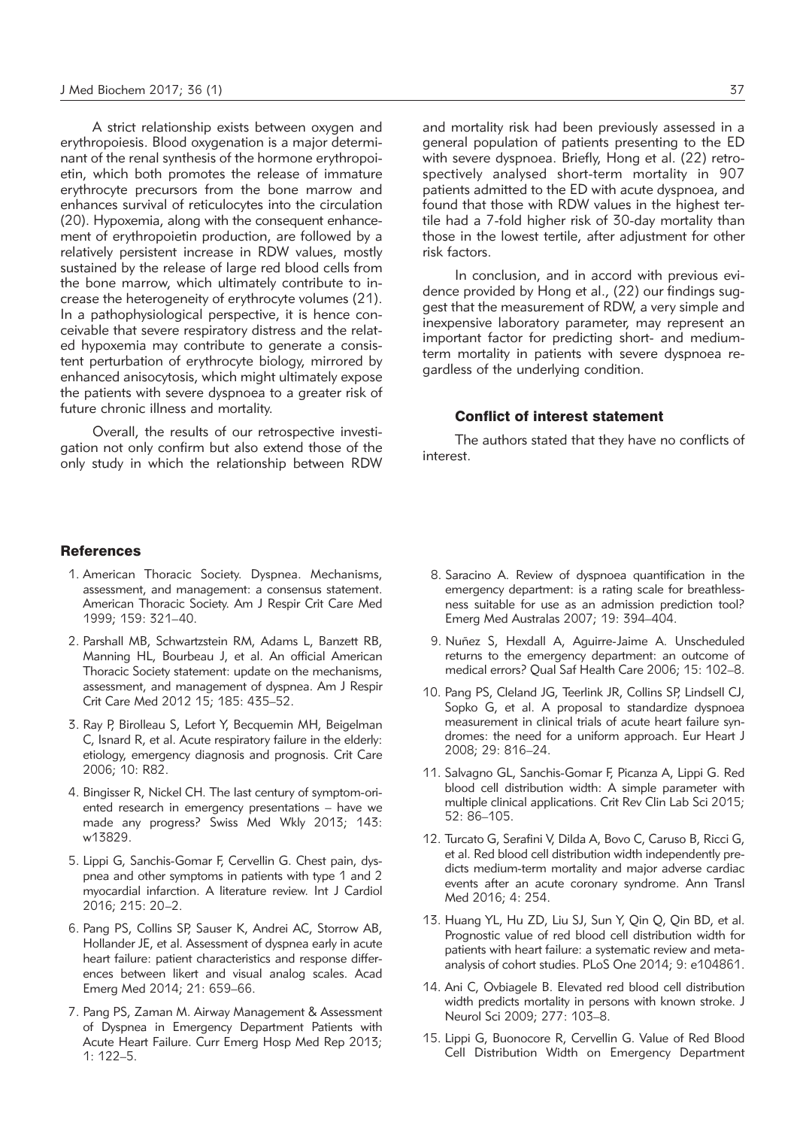A strict relationship exists between oxygen and erythropoiesis. Blood oxygenation is a major determinant of the renal synthesis of the hormone erythropoietin, which both promotes the release of immature erythrocyte precursors from the bone marrow and enhances survival of reticulocytes into the circulation (20). Hypoxemia, along with the consequent enhancement of erythropoietin production, are followed by a relatively persistent increase in RDW values, mostly sustained by the release of large red blood cells from the bone marrow, which ultimately contribute to increase the heterogeneity of erythrocyte volumes (21). In a pathophysiological perspective, it is hence conceivable that severe respiratory distress and the related hypoxemia may contribute to generate a consistent perturbation of erythrocyte biology, mirrored by enhanced anisocytosis, which might ultimately expose the patients with severe dyspnoea to a greater risk of future chronic illness and mortality.

Overall, the results of our retrospective investigation not only confirm but also extend those of the only study in which the relationship between RDW and mortality risk had been previously assessed in a general population of patients presenting to the ED with severe dyspnoea. Briefly, Hong et al. (22) retrospectively analysed short-term mortality in 907 patients admitted to the ED with acute dyspnoea, and found that those with RDW values in the highest tertile had a 7-fold higher risk of 30-day mortality than those in the lowest tertile, after adjustment for other risk factors.

In conclusion, and in accord with previous evidence provided by Hong et al., (22) our findings suggest that the measurement of RDW, a very simple and inexpensive laboratory parameter, may represent an important factor for predicting short- and mediumterm mortality in patients with severe dyspnoea regardless of the underlying condition.

### Conflict of interest statement

The authors stated that they have no conflicts of interest.

# **References**

- 1. American Thoracic Society. Dyspnea. Mechanisms, assessment, and management: a consensus statement. American Thoracic Society. Am J Respir Crit Care Med 1999; 159: 321–40.
- 2. Parshall MB, Schwartzstein RM, Adams L, Banzett RB, Manning HL, Bourbeau J, et al. An official American Thoracic Society statement: update on the mechanisms, assessment, and management of dyspnea. Am J Respir Crit Care Med 2012 15; 185: 435–52.
- 3. Ray P, Birolleau S, Lefort Y, Becquemin MH, Beigelman C, Isnard R, et al. Acute respiratory failure in the elderly: etiology, emergency diagnosis and prognosis. Crit Care 2006; 10: R82.
- 4. Bingisser R, Nickel CH. The last century of symptom-oriented research in emergency presentations – have we made any progress? Swiss Med Wkly 2013; 143: w13829.
- 5. Lippi G, Sanchis-Gomar F, Cervellin G. Chest pain, dyspnea and other symptoms in patients with type 1 and 2 myocardial infarction. A literature review. Int J Cardiol 2016; 215: 20–2.
- 6. Pang PS, Collins SP, Sauser K, Andrei AC, Storrow AB, Hollander JE, et al. Assessment of dyspnea early in acute heart failure: patient characteristics and response differences between likert and visual analog scales. Acad Emerg Med 2014; 21: 659–66.
- 7. Pang PS, Zaman M. Airway Management & Assessment of Dyspnea in Emergency Department Patients with Acute Heart Failure. Curr Emerg Hosp Med Rep 2013; 1: 122–5.
- 8. Saracino A. Review of dyspnoea quantification in the emergency department: is a rating scale for breathlessness suitable for use as an admission prediction tool? Emerg Med Australas 2007; 19: 394–404.
- 9. Nuñez S, Hexdall A, Aguirre-Jaime A. Unscheduled returns to the emergency department: an outcome of medical errors? Qual Saf Health Care 2006; 15: 102–8.
- 10. Pang PS, Cleland JG, Teerlink JR, Collins SP, Lindsell CJ, Sopko G, et al. A proposal to standardize dyspnoea measurement in clinical trials of acute heart failure syndromes: the need for a uniform approach. Eur Heart J 2008; 29: 816–24.
- 11. Salvagno GL, Sanchis-Gomar F, Picanza A, Lippi G. Red blood cell distribution width: A simple parameter with multiple clinical applications. Crit Rev Clin Lab Sci 2015; 52: 86–105.
- 12. Turcato G, Serafini V, Dilda A, Bovo C, Caruso B, Ricci G, et al. Red blood cell distribution width independently predicts medium-term mortality and major adverse cardiac events after an acute coronary syndrome. Ann Transl Med 2016; 4: 254.
- 13. Huang YL, Hu ZD, Liu SJ, Sun Y, Qin Q, Qin BD, et al. Prognostic value of red blood cell distribution width for patients with heart failure: a systematic review and metaanalysis of cohort studies. PLoS One 2014; 9: e104861.
- 14. Ani C, Ovbiagele B. Elevated red blood cell distribution width predicts mortality in persons with known stroke. J Neurol Sci 2009; 277: 103–8.
- 15. Lippi G, Buonocore R, Cervellin G. Value of Red Blood Cell Distribution Width on Emergency Department